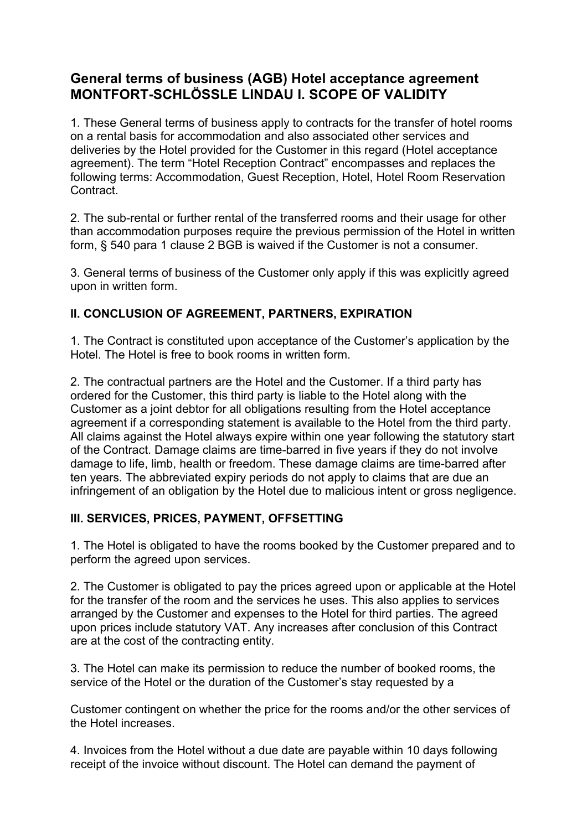# **General terms of business (AGB) Hotel acceptance agreement MONTFORT-SCHLÖSSLE LINDAU I. SCOPE OF VALIDITY**

1. These General terms of business apply to contracts for the transfer of hotel rooms on a rental basis for accommodation and also associated other services and deliveries by the Hotel provided for the Customer in this regard (Hotel acceptance agreement). The term "Hotel Reception Contract" encompasses and replaces the following terms: Accommodation, Guest Reception, Hotel, Hotel Room Reservation Contract.

2. The sub-rental or further rental of the transferred rooms and their usage for other than accommodation purposes require the previous permission of the Hotel in written form, § 540 para 1 clause 2 BGB is waived if the Customer is not a consumer.

3. General terms of business of the Customer only apply if this was explicitly agreed upon in written form.

### **II. CONCLUSION OF AGREEMENT, PARTNERS, EXPIRATION**

1. The Contract is constituted upon acceptance of the Customer's application by the Hotel. The Hotel is free to book rooms in written form.

2. The contractual partners are the Hotel and the Customer. If a third party has ordered for the Customer, this third party is liable to the Hotel along with the Customer as a joint debtor for all obligations resulting from the Hotel acceptance agreement if a corresponding statement is available to the Hotel from the third party. All claims against the Hotel always expire within one year following the statutory start of the Contract. Damage claims are time-barred in five years if they do not involve damage to life, limb, health or freedom. These damage claims are time-barred after ten years. The abbreviated expiry periods do not apply to claims that are due an infringement of an obligation by the Hotel due to malicious intent or gross negligence.

### **III. SERVICES, PRICES, PAYMENT, OFFSETTING**

1. The Hotel is obligated to have the rooms booked by the Customer prepared and to perform the agreed upon services.

2. The Customer is obligated to pay the prices agreed upon or applicable at the Hotel for the transfer of the room and the services he uses. This also applies to services arranged by the Customer and expenses to the Hotel for third parties. The agreed upon prices include statutory VAT. Any increases after conclusion of this Contract are at the cost of the contracting entity.

3. The Hotel can make its permission to reduce the number of booked rooms, the service of the Hotel or the duration of the Customer's stay requested by a

Customer contingent on whether the price for the rooms and/or the other services of the Hotel increases.

4. Invoices from the Hotel without a due date are payable within 10 days following receipt of the invoice without discount. The Hotel can demand the payment of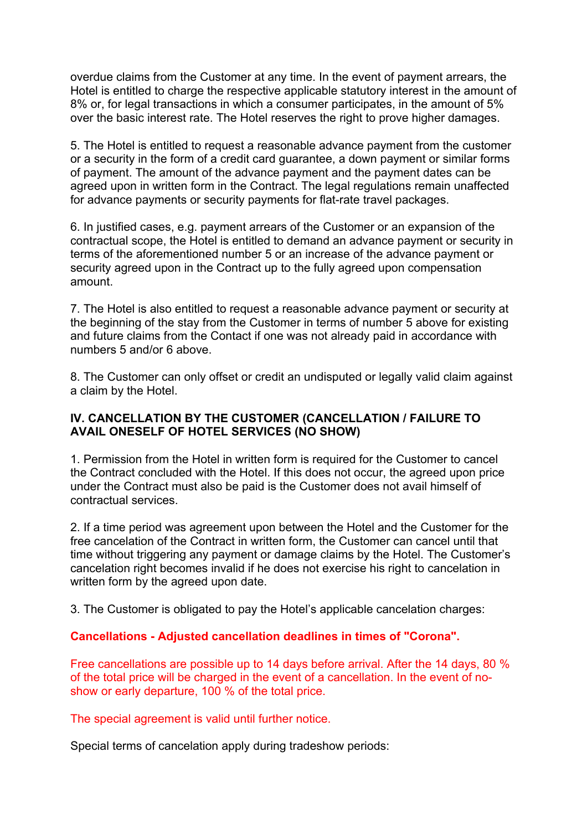overdue claims from the Customer at any time. In the event of payment arrears, the Hotel is entitled to charge the respective applicable statutory interest in the amount of 8% or, for legal transactions in which a consumer participates, in the amount of 5% over the basic interest rate. The Hotel reserves the right to prove higher damages.

5. The Hotel is entitled to request a reasonable advance payment from the customer or a security in the form of a credit card guarantee, a down payment or similar forms of payment. The amount of the advance payment and the payment dates can be agreed upon in written form in the Contract. The legal regulations remain unaffected for advance payments or security payments for flat-rate travel packages.

6. In justified cases, e.g. payment arrears of the Customer or an expansion of the contractual scope, the Hotel is entitled to demand an advance payment or security in terms of the aforementioned number 5 or an increase of the advance payment or security agreed upon in the Contract up to the fully agreed upon compensation amount.

7. The Hotel is also entitled to request a reasonable advance payment or security at the beginning of the stay from the Customer in terms of number 5 above for existing and future claims from the Contact if one was not already paid in accordance with numbers 5 and/or 6 above.

8. The Customer can only offset or credit an undisputed or legally valid claim against a claim by the Hotel.

### **IV. CANCELLATION BY THE CUSTOMER (CANCELLATION / FAILURE TO AVAIL ONESELF OF HOTEL SERVICES (NO SHOW)**

1. Permission from the Hotel in written form is required for the Customer to cancel the Contract concluded with the Hotel. If this does not occur, the agreed upon price under the Contract must also be paid is the Customer does not avail himself of contractual services.

2. If a time period was agreement upon between the Hotel and the Customer for the free cancelation of the Contract in written form, the Customer can cancel until that time without triggering any payment or damage claims by the Hotel. The Customer's cancelation right becomes invalid if he does not exercise his right to cancelation in written form by the agreed upon date.

3. The Customer is obligated to pay the Hotel's applicable cancelation charges:

### **Cancellations - Adjusted cancellation deadlines in times of "Corona".**

Free cancellations are possible up to 14 days before arrival. After the 14 days, 80 % of the total price will be charged in the event of a cancellation. In the event of noshow or early departure, 100 % of the total price.

The special agreement is valid until further notice.

Special terms of cancelation apply during tradeshow periods: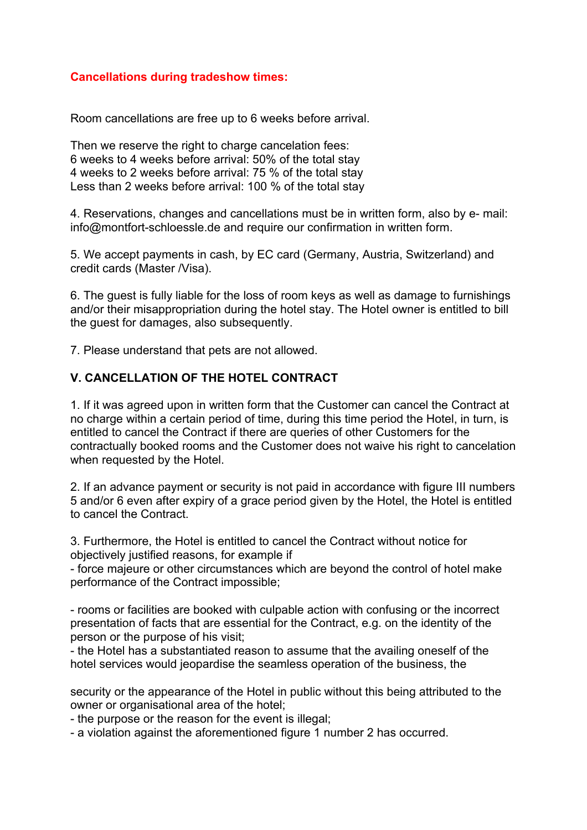#### **Cancellations during tradeshow times:**

Room cancellations are free up to 6 weeks before arrival.

Then we reserve the right to charge cancelation fees: 6 weeks to 4 weeks before arrival: 50% of the total stay 4 weeks to 2 weeks before arrival: 75 % of the total stay Less than 2 weeks before arrival: 100 % of the total stay

4. Reservations, changes and cancellations must be in written form, also by e- mail: info@montfort-schloessle.de and require our confirmation in written form.

5. We accept payments in cash, by EC card (Germany, Austria, Switzerland) and credit cards (Master /Visa).

6. The guest is fully liable for the loss of room keys as well as damage to furnishings and/or their misappropriation during the hotel stay. The Hotel owner is entitled to bill the guest for damages, also subsequently.

7. Please understand that pets are not allowed.

#### **V. CANCELLATION OF THE HOTEL CONTRACT**

1. If it was agreed upon in written form that the Customer can cancel the Contract at no charge within a certain period of time, during this time period the Hotel, in turn, is entitled to cancel the Contract if there are queries of other Customers for the contractually booked rooms and the Customer does not waive his right to cancelation when requested by the Hotel.

2. If an advance payment or security is not paid in accordance with figure III numbers 5 and/or 6 even after expiry of a grace period given by the Hotel, the Hotel is entitled to cancel the Contract.

3. Furthermore, the Hotel is entitled to cancel the Contract without notice for objectively justified reasons, for example if

- force majeure or other circumstances which are beyond the control of hotel make performance of the Contract impossible;

- rooms or facilities are booked with culpable action with confusing or the incorrect presentation of facts that are essential for the Contract, e.g. on the identity of the person or the purpose of his visit;

- the Hotel has a substantiated reason to assume that the availing oneself of the hotel services would jeopardise the seamless operation of the business, the

security or the appearance of the Hotel in public without this being attributed to the owner or organisational area of the hotel;

- the purpose or the reason for the event is illegal;

- a violation against the aforementioned figure 1 number 2 has occurred.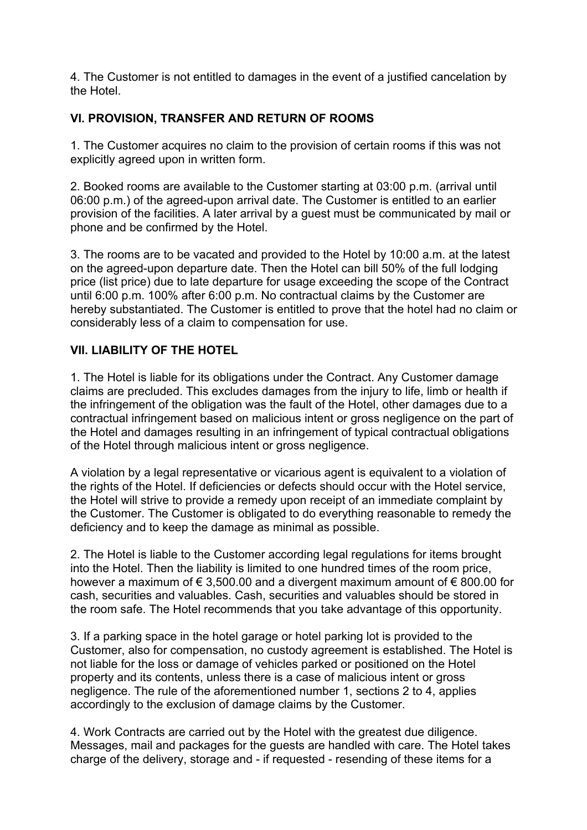4. The Customer is not entitled to damages in the event of a justified cancelation by the Hotel.

## **VI. PROVISION, TRANSFER AND RETURN OF ROOMS**

1. The Customer acquires no claim to the provision of certain rooms if this was not explicitly agreed upon in written form.

2. Booked rooms are available to the Customer starting at 03:00 p.m. (arrival until 06:00 p.m.) of the agreed-upon arrival date. The Customer is entitled to an earlier provision of the facilities. A later arrival by a guest must be communicated by mail or phone and be confirmed by the Hotel.

3. The rooms are to be vacated and provided to the Hotel by 10:00 a.m. at the latest on the agreed-upon departure date. Then the Hotel can bill 50% of the full lodging price (list price) due to late departure for usage exceeding the scope of the Contract until 6:00 p.m. 100% after 6:00 p.m. No contractual claims by the Customer are hereby substantiated. The Customer is entitled to prove that the hotel had no claim or considerably less of a claim to compensation for use.

### **VII. LIABILITY OF THE HOTEL**

1. The Hotel is liable for its obligations under the Contract. Any Customer damage claims are precluded. This excludes damages from the injury to life, limb or health if the infringement of the obligation was the fault of the Hotel, other damages due to a contractual infringement based on malicious intent or gross negligence on the part of the Hotel and damages resulting in an infringement of typical contractual obligations of the Hotel through malicious intent or gross negligence.

A violation by a legal representative or vicarious agent is equivalent to a violation of the rights of the Hotel. If deficiencies or defects should occur with the Hotel service, the Hotel will strive to provide a remedy upon receipt of an immediate complaint by the Customer. The Customer is obligated to do everything reasonable to remedy the deficiency and to keep the damage as minimal as possible.

2. The Hotel is liable to the Customer according legal regulations for items brought into the Hotel. Then the liability is limited to one hundred times of the room price, however a maximum of € 3,500.00 and a divergent maximum amount of € 800.00 for cash, securities and valuables. Cash, securities and valuables should be stored in the room safe. The Hotel recommends that you take advantage of this opportunity.

3. If a parking space in the hotel garage or hotel parking lot is provided to the Customer, also for compensation, no custody agreement is established. The Hotel is not liable for the loss or damage of vehicles parked or positioned on the Hotel property and its contents, unless there is a case of malicious intent or gross negligence. The rule of the aforementioned number 1, sections 2 to 4, applies accordingly to the exclusion of damage claims by the Customer.

4. Work Contracts are carried out by the Hotel with the greatest due diligence. Messages, mail and packages for the guests are handled with care. The Hotel takes charge of the delivery, storage and - if requested - resending of these items for a